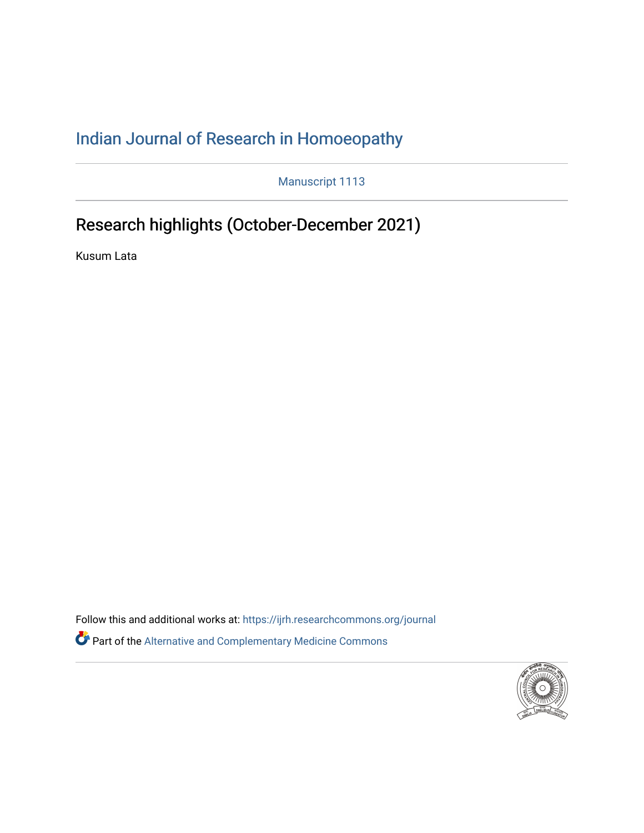## [Indian Journal of Research in Homoeopathy](https://ijrh.researchcommons.org/journal)

Manuscript 1113

# Research highlights (October-December 2021)

Kusum Lata

Follow this and additional works at: https://ijrh.researchcommons.org/journal Part of the [Alternative and Complementary Medicine Commons](http://network.bepress.com/hgg/discipline/649?utm_source=ijrh.researchcommons.org%2Fjournal%2Fvol15%2Fiss4%2F8&utm_medium=PDF&utm_campaign=PDFCoverPages) 

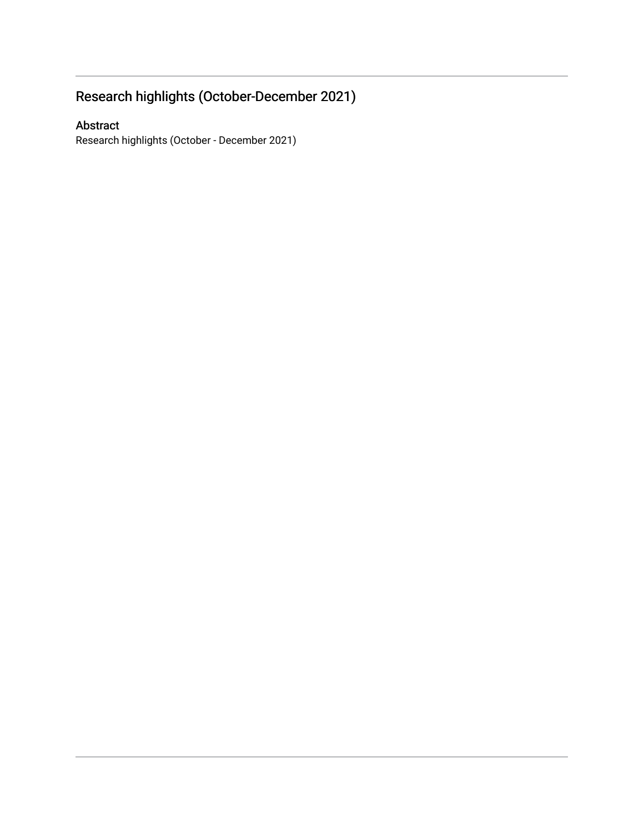## Research highlights (October-December 2021)

#### Abstract

Research highlights (October - December 2021)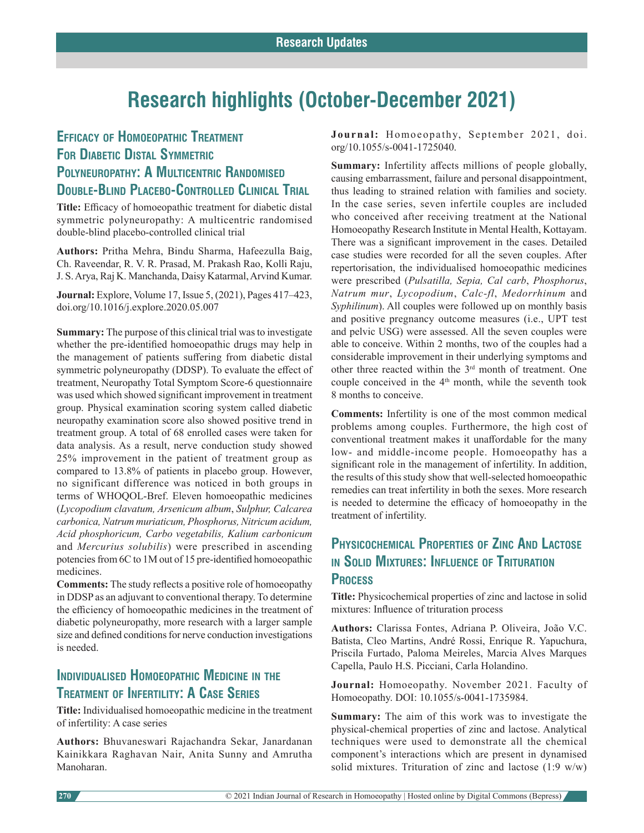# **Research highlights (October-December 2021)**

#### **Efficacy of Homoeopathic Treatment For Diabetic Distal Symmetric POLYNEUROPATHY: A MULTICENTRIC RANDOMISED Double-Blind Placebo-Controlled Clinical Trial**

**Title:** Efficacy of homoeopathic treatment for diabetic distal symmetric polyneuropathy: A multicentric randomised double-blind placebo-controlled clinical trial

**Authors:** Pritha Mehra, Bindu Sharma, Hafeezulla Baig, Ch. Raveendar, R. V. R. Prasad, M. Prakash Rao, Kolli Raju, J. S. Arya, Raj K. Manchanda, Daisy Katarmal, Arvind Kumar.

**Journal:** Explore, Volume 17, Issue 5, (2021), Pages 417–423, doi.org/10.1016/j.explore.2020.05.007

**Summary:** The purpose of this clinical trial was to investigate whether the pre-identified homoeopathic drugs may help in the management of patients suffering from diabetic distal symmetric polyneuropathy (DDSP). To evaluate the effect of treatment, Neuropathy Total Symptom Score-6 questionnaire was used which showed significant improvement in treatment group. Physical examination scoring system called diabetic neuropathy examination score also showed positive trend in treatment group. A total of 68 enrolled cases were taken for data analysis. As a result, nerve conduction study showed 25% improvement in the patient of treatment group as compared to 13.8% of patients in placebo group. However, no significant difference was noticed in both groups in terms of WHOQOL-Bref. Eleven homoeopathic medicines (*Lycopodium clavatum, Arsenicum album*, *Sulphur, Calcarea carbonica, Natrum muriaticum, Phosphorus, Nitricum acidum, Acid phosphoricum, Carbo vegetabilis, Kalium carbonicum*  and *Mercurius solubilis*) were prescribed in ascending potencies from 6C to 1M out of 15 pre-identified homoeopathic medicines.

**Comments:** The study reflects a positive role of homoeopathy in DDSP as an adjuvant to conventional therapy. To determine the efficiency of homoeopathic medicines in the treatment of diabetic polyneuropathy, more research with a larger sample size and defined conditions for nerve conduction investigations is needed.

#### **Individualised Homoeopathic Medicine in the Treatment of Infertility: A Case Series**

**Title:** Individualised homoeopathic medicine in the treatment of infertility: A case series

**Authors:** Bhuvaneswari Rajachandra Sekar, Janardanan Kainikkara Raghavan Nair, Anita Sunny and Amrutha Manoharan.

**Journal:** Homoeopathy, September 2021, doi. org/10.1055/s-0041-1725040.

**Summary:** Infertility affects millions of people globally, causing embarrassment, failure and personal disappointment, thus leading to strained relation with families and society. In the case series, seven infertile couples are included who conceived after receiving treatment at the National Homoeopathy Research Institute in Mental Health, Kottayam. There was a significant improvement in the cases. Detailed case studies were recorded for all the seven couples. After repertorisation, the individualised homoeopathic medicines were prescribed (*Pulsatilla, Sepia, Cal carb*, *Phosphorus*, *Natrum mur*, *Lycopodium*, *Calc-fl*, *Medorrhinum* and *Syphilinum*). All couples were followed up on monthly basis and positive pregnancy outcome measures (i.e., UPT test and pelvic USG) were assessed. All the seven couples were able to conceive. Within 2 months, two of the couples had a considerable improvement in their underlying symptoms and other three reacted within the 3rd month of treatment. One couple conceived in the 4<sup>th</sup> month, while the seventh took 8 months to conceive.

**Comments:** Infertility is one of the most common medical problems among couples. Furthermore, the high cost of conventional treatment makes it unaffordable for the many low- and middle-income people. Homoeopathy has a significant role in the management of infertility. In addition, the results of this study show that well-selected homoeopathic remedies can treat infertility in both the sexes. More research is needed to determine the efficacy of homoeopathy in the treatment of infertility.

#### **Physicochemical Properties of Zinc And Lactose in Solid Mixtures: Influence of Trituration Process**

**Title:** Physicochemical properties of zinc and lactose in solid mixtures: Influence of trituration process

**Authors:** Clarissa Fontes, Adriana P. Oliveira, João V.C. Batista, Cleo Martins, André Rossi, Enrique R. Yapuchura, Priscila Furtado, Paloma Meireles, Marcia Alves Marques Capella, Paulo H.S. Picciani, Carla Holandino.

**Journal:** Homoeopathy. November 2021. Faculty of Homoeopathy. DOI: 10.1055/s-0041-1735984.

**Summary:** The aim of this work was to investigate the physical-chemical properties of zinc and lactose. Analytical techniques were used to demonstrate all the chemical component's interactions which are present in dynamised solid mixtures. Trituration of zinc and lactose  $(1:9 \text{ w/w})$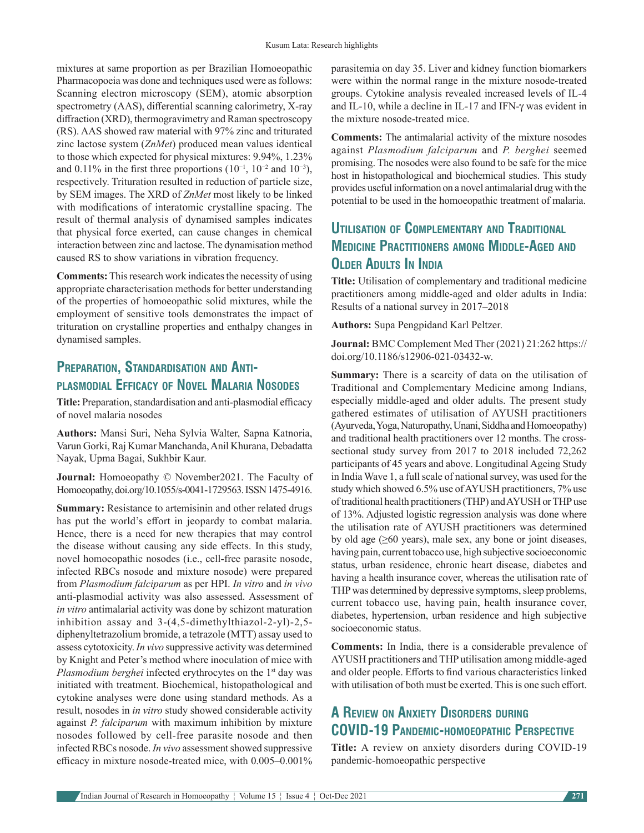mixtures at same proportion as per Brazilian Homoeopathic Pharmacopoeia was done and techniques used were as follows: Scanning electron microscopy (SEM), atomic absorption spectrometry (AAS), differential scanning calorimetry, X-ray diffraction (XRD), thermogravimetry and Raman spectroscopy (RS). AAS showed raw material with 97% zinc and triturated zinc lactose system (*ZnMet*) produced mean values identical to those which expected for physical mixtures: 9.94%, 1.23% and 0.11% in the first three proportions ( $10^{-1}$ ,  $10^{-2}$  and  $10^{-3}$ ), respectively. Trituration resulted in reduction of particle size, by SEM images. The XRD of *ZnMet* most likely to be linked with modifications of interatomic crystalline spacing. The result of thermal analysis of dynamised samples indicates that physical force exerted, can cause changes in chemical interaction between zinc and lactose. The dynamisation method caused RS to show variations in vibration frequency.

**Comments:** This research work indicates the necessity of using appropriate characterisation methods for better understanding of the properties of homoeopathic solid mixtures, while the employment of sensitive tools demonstrates the impact of trituration on crystalline properties and enthalpy changes in dynamised samples.

#### **Preparation, Standardisation and Antiplasmodial Efficacy of Novel Malaria Nosodes**

**Title:** Preparation, standardisation and anti-plasmodial efficacy of novel malaria nosodes

**Authors:** Mansi Suri, Neha Sylvia Walter, Sapna Katnoria, Varun Gorki, Raj Kumar Manchanda, Anil Khurana, Debadatta Nayak, Upma Bagai, Sukhbir Kaur.

**Journal:** Homoeopathy © November2021. The Faculty of Homoeopathy, doi.org/10.1055/s-0041-1729563. ISSN 1475-4916.

**Summary:** Resistance to artemisinin and other related drugs has put the world's effort in jeopardy to combat malaria. Hence, there is a need for new therapies that may control the disease without causing any side effects. In this study, novel homoeopathic nosodes (i.e., cell-free parasite nosode, infected RBCs nosode and mixture nosode) were prepared from *Plasmodium falciparum* as per HPI. *In vitro* and *in vivo* anti-plasmodial activity was also assessed. Assessment of *in vitro* antimalarial activity was done by schizont maturation inhibition assay and 3-(4,5-dimethylthiazol-2-yl)-2,5 diphenyltetrazolium bromide, a tetrazole (MTT) assay used to assess cytotoxicity. *In vivo* suppressive activity was determined by Knight and Peter's method where inoculation of mice with *Plasmodium berghei* infected erythrocytes on the 1<sup>st</sup> day was initiated with treatment. Biochemical, histopathological and cytokine analyses were done using standard methods. As a result, nosodes in *in vitro* study showed considerable activity against *P. falciparum* with maximum inhibition by mixture nosodes followed by cell-free parasite nosode and then infected RBCs nosode. *In vivo* assessment showed suppressive efficacy in mixture nosode-treated mice, with 0.005–0.001%

parasitemia on day 35. Liver and kidney function biomarkers were within the normal range in the mixture nosode-treated groups. Cytokine analysis revealed increased levels of IL-4 and IL-10, while a decline in IL-17 and IFN-γ was evident in the mixture nosode-treated mice.

**Comments:** The antimalarial activity of the mixture nosodes against *Plasmodium falciparum* and *P. berghei* seemed promising. The nosodes were also found to be safe for the mice host in histopathological and biochemical studies. This study provides useful information on a novel antimalarial drug with the potential to be used in the homoeopathic treatment of malaria.

#### **Utilisation of Complementary and Traditional Medicine Practitioners among Middle-Aged and OLDER ADULTS IN INDIA**

**Title:** Utilisation of complementary and traditional medicine practitioners among middle-aged and older adults in India: Results of a national survey in 2017–2018

**Authors:** Supa Pengpidand Karl Peltzer.

**Journal:** BMC Complement Med Ther (2021) 21:262 https:// doi.org/10.1186/s12906-021-03432-w.

**Summary:** There is a scarcity of data on the utilisation of Traditional and Complementary Medicine among Indians, especially middle-aged and older adults. The present study gathered estimates of utilisation of AYUSH practitioners (Ayurveda, Yoga, Naturopathy, Unani, Siddha and Homoeopathy) and traditional health practitioners over 12 months. The crosssectional study survey from 2017 to 2018 included 72,262 participants of 45 years and above. Longitudinal Ageing Study in India Wave 1, a full scale of national survey, was used for the study which showed 6.5% use of AYUSH practitioners, 7% use of traditional health practitioners (THP) and AYUSH or THP use of 13%. Adjusted logistic regression analysis was done where the utilisation rate of AYUSH practitioners was determined by old age  $(\geq 60$  years), male sex, any bone or joint diseases, having pain, current tobacco use, high subjective socioeconomic status, urban residence, chronic heart disease, diabetes and having a health insurance cover, whereas the utilisation rate of THP was determined by depressive symptoms, sleep problems, current tobacco use, having pain, health insurance cover, diabetes, hypertension, urban residence and high subjective socioeconomic status.

**Comments:** In India, there is a considerable prevalence of AYUSH practitioners and THP utilisation among middle-aged and older people. Efforts to find various characteristics linked with utilisation of both must be exerted. This is one such effort.

#### **A Review on Anxiety Disorders during COVID-19 Pandemic-homoeopathic Perspective**

**Title:** A review on anxiety disorders during COVID-19 pandemic-homoeopathic perspective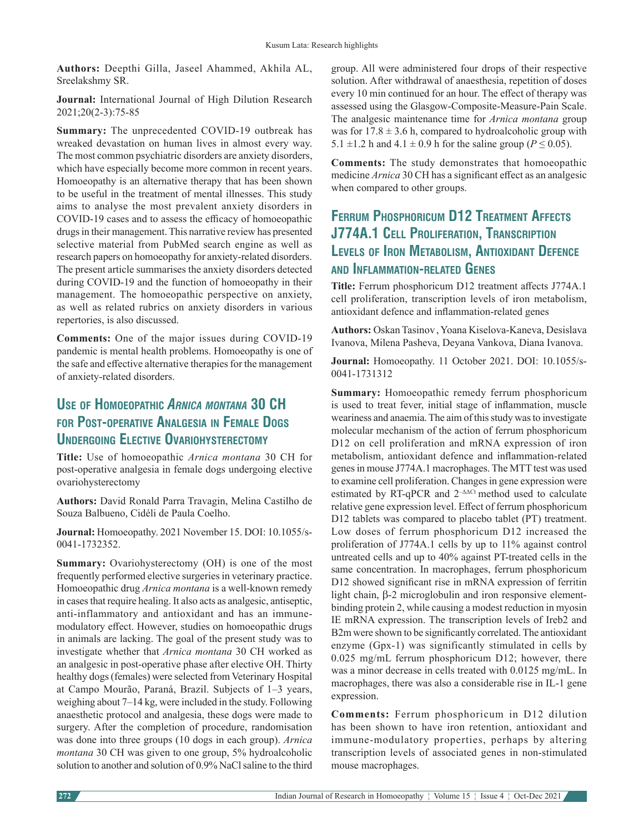**Authors:** Deepthi Gilla, Jaseel Ahammed, Akhila AL, Sreelakshmy SR.

**Journal:** International Journal of High Dilution Research 2021;20(2-3):75-85

**Summary:** The unprecedented COVID-19 outbreak has wreaked devastation on human lives in almost every way. The most common psychiatric disorders are anxiety disorders, which have especially become more common in recent years. Homoeopathy is an alternative therapy that has been shown to be useful in the treatment of mental illnesses. This study aims to analyse the most prevalent anxiety disorders in COVID-19 cases and to assess the efficacy of homoeopathic drugs in their management. This narrative review has presented selective material from PubMed search engine as well as research papers on homoeopathy for anxiety-related disorders. The present article summarises the anxiety disorders detected during COVID-19 and the function of homoeopathy in their management. The homoeopathic perspective on anxiety, as well as related rubrics on anxiety disorders in various repertories, is also discussed.

**Comments:** One of the major issues during COVID-19 pandemic is mental health problems. Homoeopathy is one of the safe and effective alternative therapies for the management of anxiety-related disorders.

#### **Use of Homoeopathic** *Arnica montana* **30 CH for Post-operative Analgesia in Female Dogs Undergoing Elective Ovariohysterectomy**

**Title:** Use of homoeopathic *Arnica montana* 30 CH for post-operative analgesia in female dogs undergoing elective ovariohysterectomy

**Authors:** David Ronald Parra Travagin, Melina Castilho de Souza Balbueno, Cidéli de Paula Coelho.

**Journal:** Homoeopathy. 2021 November 15. DOI: 10.1055/s-0041-1732352.

**Summary:** Ovariohysterectomy (OH) is one of the most frequently performed elective surgeries in veterinary practice. Homoeopathic drug *Arnica montana* is a well-known remedy in cases that require healing. It also acts as analgesic, antiseptic, anti-inflammatory and antioxidant and has an immunemodulatory effect. However, studies on homoeopathic drugs in animals are lacking. The goal of the present study was to investigate whether that *Arnica montana* 30 CH worked as an analgesic in post-operative phase after elective OH. Thirty healthy dogs (females) were selected from Veterinary Hospital at Campo Mourão, Paraná, Brazil. Subjects of 1–3 years, weighing about 7–14 kg, were included in the study. Following anaesthetic protocol and analgesia, these dogs were made to surgery. After the completion of procedure, randomisation was done into three groups (10 dogs in each group). *Arnica montana* 30 CH was given to one group, 5% hydroalcoholic solution to another and solution of 0.9% NaCl saline to the third

group. All were administered four drops of their respective solution. After withdrawal of anaesthesia, repetition of doses every 10 min continued for an hour. The effect of therapy was assessed using the Glasgow-Composite-Measure-Pain Scale. The analgesic maintenance time for *Arnica montana* group was for  $17.8 \pm 3.6$  h, compared to hydroalcoholic group with 5.1  $\pm$ 1.2 h and 4.1  $\pm$  0.9 h for the saline group ( $P \le 0.05$ ).

**Comments:** The study demonstrates that homoeopathic medicine *Arnica* 30 CH has a significant effect as an analgesic when compared to other groups.

### **Ferrum Phosphoricum D12 Treatment Affects J774A.1 Cell Proliferation, Transcription Levels of Iron Metabolism, Antioxidant Defence and Inflammation-related Genes**

**Title:** Ferrum phosphoricum D12 treatment affects J774A.1 cell proliferation, transcription levels of iron metabolism, antioxidant defence and inflammation-related genes

**Authors:** Oskan Tasinov, Yoana Kiselova-Kaneva, Desislava Ivanova, Milena Pasheva, Deyana Vankova, Diana Ivanova.

**Journal:** Homoeopathy. 11 October 2021. DOI: 10.1055/s-0041-1731312

**Summary:** Homoeopathic remedy ferrum phosphoricum is used to treat fever, initial stage of inflammation, muscle weariness and anaemia. The aim of this study was to investigate molecular mechanism of the action of ferrum phosphoricum D12 on cell proliferation and mRNA expression of iron metabolism, antioxidant defence and inflammation-related genes in mouse J774A.1 macrophages. The MTT test was used to examine cell proliferation. Changes in gene expression were estimated by RT-qPCR and  $2^{-\Delta\Delta Ct}$  method used to calculate relative gene expression level. Effect of ferrum phosphoricum D12 tablets was compared to placebo tablet (PT) treatment. Low doses of ferrum phosphoricum D12 increased the proliferation of J774A.1 cells by up to 11% against control untreated cells and up to 40% against PT-treated cells in the same concentration. In macrophages, ferrum phosphoricum D12 showed significant rise in mRNA expression of ferritin light chain, β-2 microglobulin and iron responsive elementbinding protein 2, while causing a modest reduction in myosin IE mRNA expression. The transcription levels of Ireb2 and B2m were shown to be significantly correlated. The antioxidant enzyme (Gpx-1) was significantly stimulated in cells by 0.025 mg/mL ferrum phosphoricum D12; however, there was a minor decrease in cells treated with 0.0125 mg/mL. In macrophages, there was also a considerable rise in IL-1 gene expression.

**Comments:** Ferrum phosphoricum in D12 dilution has been shown to have iron retention, antioxidant and immune-modulatory properties, perhaps by altering transcription levels of associated genes in non-stimulated mouse macrophages.